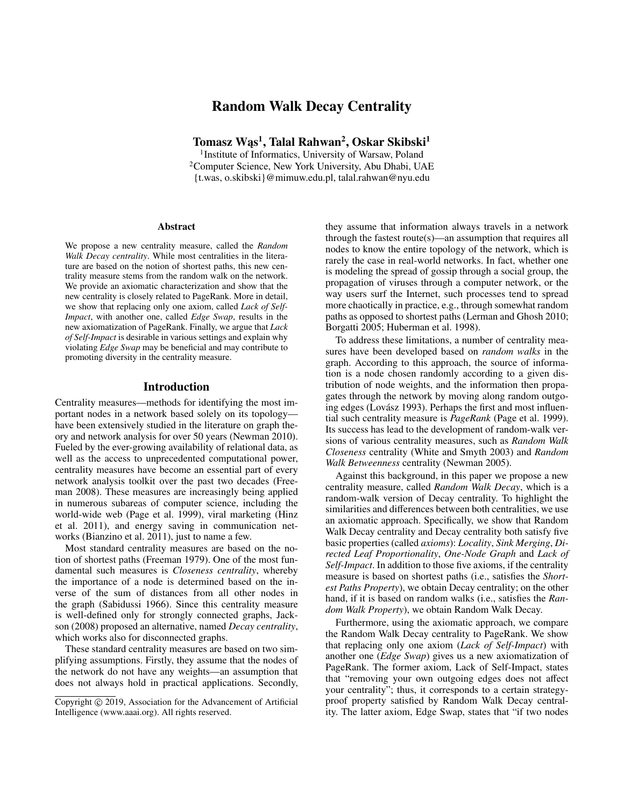# Random Walk Decay Centrality

Tomasz Wąs<sup>1</sup>, Talal Rahwan<sup>2</sup>, Oskar Skibski<sup>1</sup>

<sup>1</sup> Institute of Informatics, University of Warsaw, Poland <sup>2</sup>Computer Science, New York University, Abu Dhabi, UAE {t.was, o.skibski}@mimuw.edu.pl, talal.rahwan@nyu.edu

#### Abstract

We propose a new centrality measure, called the *Random Walk Decay centrality*. While most centralities in the literature are based on the notion of shortest paths, this new centrality measure stems from the random walk on the network. We provide an axiomatic characterization and show that the new centrality is closely related to PageRank. More in detail, we show that replacing only one axiom, called *Lack of Self-Impact*, with another one, called *Edge Swap*, results in the new axiomatization of PageRank. Finally, we argue that *Lack of Self-Impact* is desirable in various settings and explain why violating *Edge Swap* may be beneficial and may contribute to promoting diversity in the centrality measure.

# Introduction

Centrality measures—methods for identifying the most important nodes in a network based solely on its topology have been extensively studied in the literature on graph theory and network analysis for over 50 years (Newman 2010). Fueled by the ever-growing availability of relational data, as well as the access to unprecedented computational power, centrality measures have become an essential part of every network analysis toolkit over the past two decades (Freeman 2008). These measures are increasingly being applied in numerous subareas of computer science, including the world-wide web (Page et al. 1999), viral marketing (Hinz et al. 2011), and energy saving in communication networks (Bianzino et al. 2011), just to name a few.

Most standard centrality measures are based on the notion of shortest paths (Freeman 1979). One of the most fundamental such measures is *Closeness centrality*, whereby the importance of a node is determined based on the inverse of the sum of distances from all other nodes in the graph (Sabidussi 1966). Since this centrality measure is well-defined only for strongly connected graphs, Jackson (2008) proposed an alternative, named *Decay centrality*, which works also for disconnected graphs.

These standard centrality measures are based on two simplifying assumptions. Firstly, they assume that the nodes of the network do not have any weights—an assumption that does not always hold in practical applications. Secondly,

they assume that information always travels in a network through the fastest route(s)—an assumption that requires all nodes to know the entire topology of the network, which is rarely the case in real-world networks. In fact, whether one is modeling the spread of gossip through a social group, the propagation of viruses through a computer network, or the way users surf the Internet, such processes tend to spread more chaotically in practice, e.g., through somewhat random paths as opposed to shortest paths (Lerman and Ghosh 2010; Borgatti 2005; Huberman et al. 1998).

To address these limitations, a number of centrality measures have been developed based on *random walks* in the graph. According to this approach, the source of information is a node chosen randomly according to a given distribution of node weights, and the information then propagates through the network by moving along random outgoing edges (Lovász 1993). Perhaps the first and most influential such centrality measure is *PageRank* (Page et al. 1999). Its success has lead to the development of random-walk versions of various centrality measures, such as *Random Walk Closeness* centrality (White and Smyth 2003) and *Random Walk Betweenness* centrality (Newman 2005).

Against this background, in this paper we propose a new centrality measure, called *Random Walk Decay*, which is a random-walk version of Decay centrality. To highlight the similarities and differences between both centralities, we use an axiomatic approach. Specifically, we show that Random Walk Decay centrality and Decay centrality both satisfy five basic properties (called *axioms*): *Locality*, *Sink Merging*, *Directed Leaf Proportionality*, *One-Node Graph* and *Lack of Self-Impact*. In addition to those five axioms, if the centrality measure is based on shortest paths (i.e., satisfies the *Shortest Paths Property*), we obtain Decay centrality; on the other hand, if it is based on random walks (i.e., satisfies the *Random Walk Property*), we obtain Random Walk Decay.

Furthermore, using the axiomatic approach, we compare the Random Walk Decay centrality to PageRank. We show that replacing only one axiom (*Lack of Self-Impact*) with another one (*Edge Swap*) gives us a new axiomatization of PageRank. The former axiom, Lack of Self-Impact, states that "removing your own outgoing edges does not affect your centrality"; thus, it corresponds to a certain strategyproof property satisfied by Random Walk Decay centrality. The latter axiom, Edge Swap, states that "if two nodes

Copyright © 2019, Association for the Advancement of Artificial Intelligence (www.aaai.org). All rights reserved.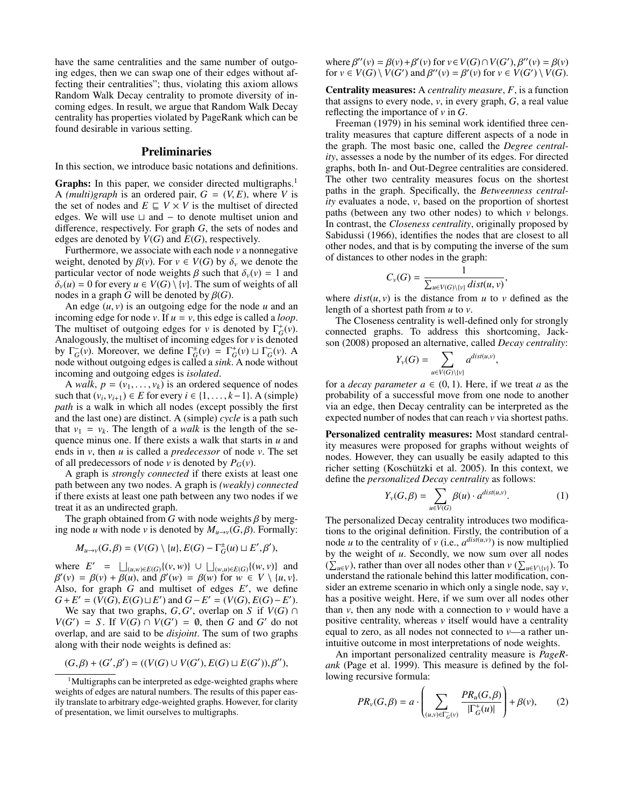have the same centralities and the same number of outgoing edges, then we can swap one of their edges without affecting their centralities"; thus, violating this axiom allows Random Walk Decay centrality to promote diversity of incoming edges. In result, we argue that Random Walk Decay centrality has properties violated by PageRank which can be found desirable in various setting.

## Preliminaries

In this section, we introduce basic notations and definitions.

Graphs: In this paper, we consider directed multigraphs.<sup>1</sup> A *(multi)graph* is an ordered pair,  $G = (V, E)$ , where *V* is the set of nodes and  $E \subseteq V \times V$  is the multiset of directed edges. We will use  $\sqcup$  and – to denote multiset union and difference, respectively. For graph *G*, the sets of nodes and edges are denoted by  $V(G)$  and  $E(G)$ , respectively.

Furthermore, we associate with each node *v* a nonnegative weight, denoted by  $\beta(v)$ . For  $v \in V(G)$  by  $\delta_v$  we denote the particular vector of node weights  $\beta$  such that  $\delta_v(v) = 1$  and  $\delta_v(u) = 0$  for every  $u \in V(G) \setminus \{v\}$ . The sum of weights of all nodes in a graph *G* will be denoted by  $\beta(G)$ .

An edge (*u*, *<sup>v</sup>*) is an outgoing edge for the node *<sup>u</sup>* and an incoming edge for node *v*. If *u* = *v*, this edge is called a *loop*. The multiset of outgoing edges for *v* is denoted by  $\Gamma_G^+(v)$ . Analogously, the multiset of incoming edges for *v* is denoted by  $\Gamma_G^-(v)$ . Moreover, we define  $\Gamma_G^{\pm}(v) = \Gamma_G^+(v) \sqcup \Gamma_G^-(v)$ . A node without outgoing edges is called a *sink*. A node without incoming and outgoing edges is *isolated*.

A *walk*,  $p = (v_1, \ldots, v_k)$  is an ordered sequence of nodes such that  $(v_i, v_{i+1}) \in E$  for every  $i \in \{1, ..., k-1\}$ . A (simple) path is a walk in which all nodes (except possibly the first *path* is a walk in which all nodes (except possibly the first and the last one) are distinct. A (simple) *cycle* is a path such that  $v_1 = v_k$ . The length of a *walk* is the length of the sequence minus one. If there exists a walk that starts in *u* and ends in *v*, then *u* is called a *predecessor* of node *v*. The set of all predecessors of node *v* is denoted by  $P_G(v)$ .

A graph is *strongly connected* if there exists at least one path between any two nodes. A graph is *(weakly) connected* if there exists at least one path between any two nodes if we treat it as an undirected graph.

The graph obtained from *G* with node weights  $\beta$  by merging node *u* with node *v* is denoted by  $M_{u\rightarrow v}(G, \beta)$ . Formally:

$$
M_{u\to v}(G,\beta)=(V(G)\setminus\{u\},E(G)-\Gamma_G^{\pm}(u)\sqcup E',\beta'),
$$

where  $E' = \bigsqcup_{(u,w)\in E(G)} \{(v,w)\} \cup \bigsqcup_{(w,u)\in E(G)} \{(w,v)\}$  and  $B'(w) = B(w)$  for  $w \in V \setminus \{u, v\}$ Also, for graph *G* and multiset of edges  $E'$ , we define  $\beta(v) = \beta(v) + \overline{\beta(u)}$ , and  $\beta'(w) = \beta(w)$  for  $w \in V \setminus \{u, v\}$ .<br>Iso for graph G and multiset of edges  $F'$  we define  $G + E' = (\overline{V}(G), E(G) \sqcup E')$  and  $G - E' = (V(G), E(G) - E')$ .<br>We say that two graphs  $G/G'$  overlap on  $S$  if  $V(G) \cap$ 

We say that two graphs, *G*, *G'*, overlap on *S* if  $V(G) \cap G'$  = *S*. If  $V(G) \cap V(G') = \emptyset$  then *G* and *G'* do not  $V(G') = S$ . If  $V(G) \cap V(G') = \emptyset$ , then *G* and *G'* do not overlap, and are said to be *disjoint*. The sum of two graphs along with their node weights is defined as:

$$
(G,\beta) + (G',\beta') = ((V(G) \cup V(G'),E(G) \sqcup E(G')), \beta''),
$$

where  $\beta''(v) = \beta(v) + \beta'(v)$  for  $v \in V(G) \cap V(G')$ ,  $\beta''(v) = \beta(v)$ <br>for  $v \in V(G) \setminus V(G')$  and  $\beta''(v) = \beta'(v)$  for  $v \in V(G') \setminus V(G)$ for  $v \in V(G) \setminus V(G')$  and  $\beta''(v) = \beta'(v)$  for  $v \in V(G') \setminus V(G)$ .

Centrality measures: A *centrality measure*, *F*, is a function that assigns to every node, *v*, in every graph, *G*, a real value reflecting the importance of *v* in *G*.

Freeman (1979) in his seminal work identified three centrality measures that capture different aspects of a node in the graph. The most basic one, called the *Degree centrality*, assesses a node by the number of its edges. For directed graphs, both In- and Out-Degree centralities are considered. The other two centrality measures focus on the shortest paths in the graph. Specifically, the *Betweenness centrality* evaluates a node, *v*, based on the proportion of shortest paths (between any two other nodes) to which  $\nu$  belongs. In contrast, the *Closeness centrality*, originally proposed by Sabidussi (1966), identifies the nodes that are closest to all other nodes, and that is by computing the inverse of the sum of distances to other nodes in the graph:

$$
C_{\nu}(G) = \frac{1}{\sum_{u \in V(G) \setminus \{v\}} dist(u, v)},
$$

where  $dist(u, v)$  is the distance from *u* to *v* defined as the length of a shortest path from *u* to *v* length of a shortest path from *u* to *v*.

The Closeness centrality is well-defined only for strongly connected graphs. To address this shortcoming, Jackson (2008) proposed an alternative, called *Decay centrality*:

$$
Y_{\nu}(G)=\sum_{u\in V(G)\setminus\{\nu\}}a^{dist(u,\nu)},
$$

for a *decay parameter*  $a \in (0, 1)$ . Here, if we treat a as the probability of a successful move from one node to another via an edge, then Decay centrality can be interpreted as the expected number of nodes that can reach *v* via shortest paths.

Personalized centrality measures: Most standard centrality measures were proposed for graphs without weights of nodes. However, they can usually be easily adapted to this richer setting (Koschützki et al. 2005). In this context, we define the *personalized Decay centrality* as follows:

$$
Y_{\nu}(G,\beta) = \sum_{u \in V(G)} \beta(u) \cdot a^{dist(u,v)}.
$$
 (1)

The personalized Decay centrality introduces two modifications to the original definition. Firstly, the contribution of a node *u* to the centrality of *v* (i.e.,  $a^{dist(u,v)}$ ) is now multiplied by the weight of *u*. Secondly, we now sum over all nodes ( $\sum_{u \in V}$ ), rather than over all nodes other than *v* ( $\sum_{u \in V \setminus \{v\}}$ ). To understand the rationale behind this latter modification, consider an extreme scenario in which only a single node, say *v*, has a positive weight. Here, if we sum over all nodes other than  $\nu$ , then any node with a connection to  $\nu$  would have a positive centrality, whereas *v* itself would have a centrality equal to zero, as all nodes not connected to *v*—a rather unintuitive outcome in most interpretations of node weights.

An important personalized centrality measure is *PageRank* (Page et al. 1999). This measure is defined by the following recursive formula:

$$
PR_{\nu}(G,\beta) = a \cdot \left(\sum_{(u,v)\in \Gamma_G^-(v)} \frac{PR_u(G,\beta)}{|\Gamma_G^+(u)|}\right) + \beta(v),\tag{2}
$$

<sup>&</sup>lt;sup>1</sup>Multigraphs can be interpreted as edge-weighted graphs where weights of edges are natural numbers. The results of this paper easily translate to arbitrary edge-weighted graphs. However, for clarity of presentation, we limit ourselves to multigraphs.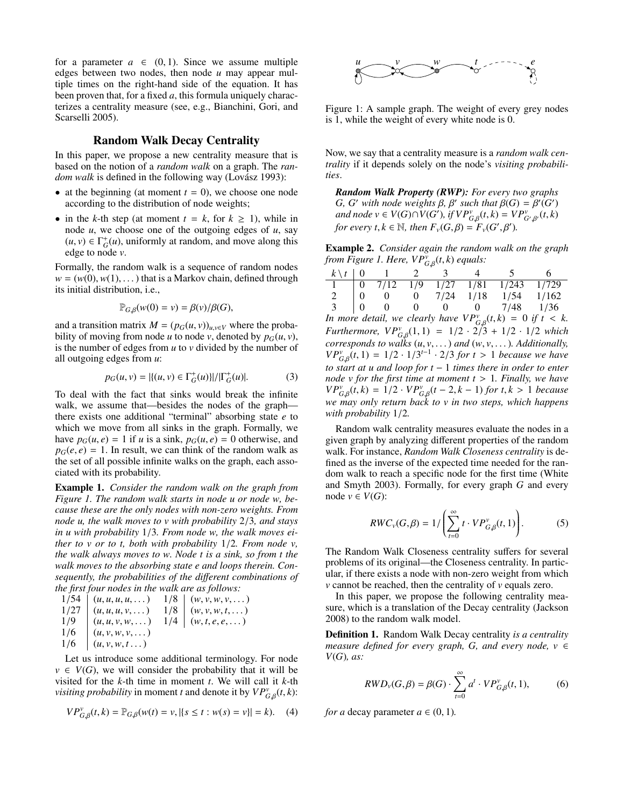for a parameter  $a \in (0, 1)$ . Since we assume multiple edges between two nodes, then node *u* may appear multiple times on the right-hand side of the equation. It has been proven that, for a fixed *a*, this formula uniquely characterizes a centrality measure (see, e.g., Bianchini, Gori, and Scarselli 2005).

# Random Walk Decay Centrality

In this paper, we propose a new centrality measure that is based on the notion of a *random walk* on a graph. The *random walk* is defined in the following way (Lovász 1993):

- at the beginning (at moment  $t = 0$ ), we choose one node according to the distribution of node weights;
- in the *k*-th step (at moment  $t = k$ , for  $k \ge 1$ ), while in node *u*, we choose one of the outgoing edges of *u*, say  $(u, v) \in \Gamma_G^+(u)$ , uniformly at random, and move along this edge to node *v* edge to node *v*.

Formally, the random walk is a sequence of random nodes  $w = (w(0), w(1), \dots)$  that is a Markov chain, defined through its initial distribution, i.e.,

$$
\mathbb{P}_{G,\beta}(w(0)=v)=\beta(v)/\beta(G),
$$

and a transition matrix  $M = (p_G(u, v))_{u, v \in V}$  where the probability of moving from node *u* to node *v*, denoted by  $p_G(u, v)$ , is the number of edges from *u* to *v* divided by the number of all outgoing edges from *u*:

$$
p_G(u, v) = |\{(u, v) \in \Gamma_G^+(u)\}| / |\Gamma_G^+(u)|. \tag{3}
$$

To deal with the fact that sinks would break the infinite walk, we assume that—besides the nodes of the graph there exists one additional "terminal" absorbing state *e* to which we move from all sinks in the graph. Formally, we have  $p_G(u, e) = 1$  if *u* is a sink,  $p_G(u, e) = 0$  otherwise, and  $p_G(e, e) = 1$ . In result, we can think of the random walk as the set of all possible infinite walks on the graph, each associated with its probability.

Example 1. *Consider the random walk on the graph from Figure 1. The random walk starts in node u or node w, because these are the only nodes with non-zero weights. From node u, the walk moves to v with probability* <sup>2</sup>/3*, and stays in u with probability* <sup>1</sup>/3*. From node w, the walk moves either to v or to t, both with probability* <sup>1</sup>/2*. From node v, the walk always moves to w. Node t is a sink, so from t the walk moves to the absorbing state e and loops therein. Consequently, the probabilities of the di*ff*erent combinations of the first four nodes in the walk are as follows:*

$$
\begin{array}{c|c|c|c} 1/54 & (u, u, u, u, \ldots) & 1/8 & (w, v, w, v, \ldots) \\ 1/27 & (u, u, u, v, \ldots) & 1/8 & (w, v, w, t, \ldots) \\ 1/9 & (u, u, v, w, \ldots) & 1/4 & (w, t, e, e, \ldots) \\ 1/6 & (u, v, w, v, \ldots) & & \\ 1/6 & (u, v, w, t, \ldots) & & \end{array}
$$

 $1/6$  (*u*, *v*, *w*, *t* . . . )<br>Let us introduce some additional terminology. For node  $v \in V(G)$ , we will consider the probability that it will be visited for the *k*-th time in moment *t*. We will call it *k*-th *visiting probability* in moment *t* and denote it by  $VP^{\nu}_{G,\beta}(t, k)$ :

$$
VP_{G,\beta}^{\nu}(t,k) = \mathbb{P}_{G,\beta}(w(t) = \nu, |\{s \le t : w(s) = \nu\}| = k). \tag{4}
$$



Figure 1: A sample graph. The weight of every grey nodes is 1, while the weight of every white node is 0.

Now, we say that a centrality measure is a *random walk centrality* if it depends solely on the node's *visiting probabilities*.

*Random Walk Property (RWP): For every two graphs G, G'* with node weights  $\beta$ ,  $\beta'$  such that  $\beta(G) = \beta'(G')$ <br>and node  $v \in V(G) \cap V(G')$  if  $VP^v$ , (t k) =  $VP^v$ , (t k) *and node*  $v \in V(G) \cap V(G')$ , if  $VP_{G,\beta}^v(t, k) = VP_{G',\beta'}^v(t, k)$ <br>for every  $t, k \in \mathbb{N}$ , then  $E(G, \beta) = E(G', \beta')$ *for every t*,  $k \in \mathbb{N}$ , then  $F_v(G, \beta) = F_v(G', \beta')$ .

Example 2. *Consider again the random walk on the graph from Figure 1. Here,*  $VP_{G,\beta}^{\nu}(t, k)$  *equals:*<br> $h \geq 0$  *a d* 

| $k \setminus t$                                                               |          | $\sim 1$       | 2   | 3            | 4    | 5              | 6.                                                                                       |
|-------------------------------------------------------------------------------|----------|----------------|-----|--------------|------|----------------|------------------------------------------------------------------------------------------|
| $\mathbb{R}^n$                                                                | $\theta$ | 7/12           | 1/9 | 1/27         | 1/81 | $\sqrt{1/243}$ | 1/729                                                                                    |
| 2                                                                             | 0        | $\overline{0}$ | 0   | 7/24         | 1/18 | 1/54           | 1/162                                                                                    |
| 3 <sup>1</sup>                                                                |          |                | 0   | $\mathbf{0}$ | 0    | 7/48           | 1/36                                                                                     |
|                                                                               |          |                |     |              |      |                | In more detail, we clearly have $VP_{G,\beta}^v(t,k) = 0$ if $t < k$ .                   |
| Furthermore, $VP_{G,\beta}^{\nu}(1,1) = 1/2 \cdot 2/3 + 1/2 \cdot 1/2$ which  |          |                |     |              |      |                |                                                                                          |
| corresponds to walks $(u, v, \dots)$ and $(w, v, \dots)$ . Additionally,      |          |                |     |              |      |                |                                                                                          |
| $VP_{G,B}^v(t,1) = 1/2 \cdot 1/3^{t-1} \cdot 2/3$ for $t > 1$ because we have |          |                |     |              |      |                |                                                                                          |
| to start at u and loop for $t-1$ times there in order to enter                |          |                |     |              |      |                |                                                                                          |
| node v for the first time at moment $t > 1$ . Finally, we have                |          |                |     |              |      |                |                                                                                          |
|                                                                               |          |                |     |              |      |                | $VP_{G,\beta}^{\nu}(t,k) = 1/2 \cdot VP_{G,\beta}^{\nu}(t-2,k-1)$ for $t, k > 1$ because |
| we may only return back to $v$ in two steps, which happens                    |          |                |     |              |      |                |                                                                                          |

Random walk centrality measures evaluate the nodes in a given graph by analyzing different properties of the random walk. For instance, *Random Walk Closeness centrality* is defined as the inverse of the expected time needed for the random walk to reach a specific node for the first time (White and Smyth 2003). Formally, for every graph *G* and every node *v* ∈  $V(G)$ :

$$
RWC_v(G,\beta) = 1/\left(\sum_{t=0}^{\infty} t \cdot VP_{G,\beta}^v(t,1)\right).
$$
 (5)

The Random Walk Closeness centrality suffers for several problems of its original—the Closeness centrality. In particular, if there exists a node with non-zero weight from which *v* cannot be reached, then the centrality of *v* equals zero.

In this paper, we propose the following centrality measure, which is a translation of the Decay centrality (Jackson 2008) to the random walk model.

Definition 1. Random Walk Decay centrality *is a centrality measure defined for every graph, G, and every node, v* ∈ *V*(*G*)*, as:*

$$
RWD_v(G,\beta) = \beta(G) \cdot \sum_{t=0}^{\infty} a^t \cdot VP_{G,\beta}^v(t,1),\tag{6}
$$

*for a* decay parameter  $a \in (0, 1)$ *.* 

*with probability* <sup>1</sup>/2*.*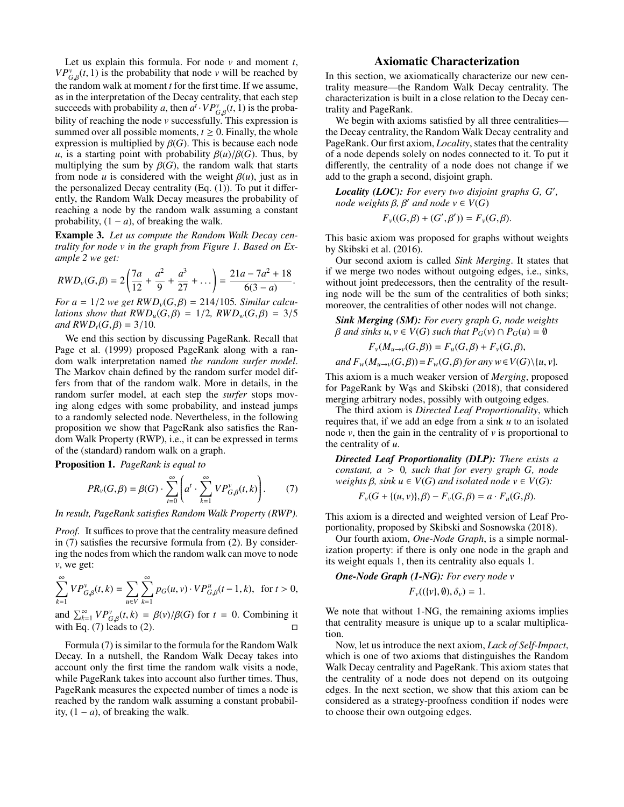Let us explain this formula. For node *v* and moment *t*,  $VP_{G,\beta}^{\nu}(t, 1)$  is the probability that node *v* will be reached by the random walk at moment *t* for the first time. If we assume the random walk at moment *t* for the first time. If we assume, as in the interpretation of the Decay centrality, that each step succeeds with probability *a*, then  $a^t \cdot VP_{G,\beta}^v(t, 1)$  is the proba-<br>bility of reaching the node y successfully. This expression is bility of reaching the node *v* successfully. This expression is summed over all possible moments,  $t > 0$ . Finally, the whole expression is multiplied by  $\beta(G)$ . This is because each node *u*, is a starting point with probability  $\beta(u)/\beta(G)$ . Thus, by multiplying the sum by  $\beta(G)$ , the random walk that starts from node *u* is considered with the weight  $\beta(u)$ , just as in the personalized Decay centrality (Eq. (1)). To put it differently, the Random Walk Decay measures the probability of reaching a node by the random walk assuming a constant probability,  $(1 - a)$ , of breaking the walk.

Example 3. *Let us compute the Random Walk Decay centrality for node v in the graph from Figure 1. Based on Example 2 we get:*

$$
RWD_v(G,\beta) = 2\left(\frac{7a}{12} + \frac{a^2}{9} + \frac{a^3}{27} + \dots\right) = \frac{21a - 7a^2 + 18}{6(3-a)}
$$

*For a* =  $1/2$  *we get RWD<sub><i>v*</sub></sub>(*G*,  $\beta$ ) = 214/105*. Similar calculations show that*  $RWD_u(G, \beta) = 1/2$ *,*  $RWD_w(G, \beta) = 3/5$ *and*  $RWD_t(G,\beta) = 3/10$ *.* 

We end this section by discussing PageRank. Recall that Page et al. (1999) proposed PageRank along with a random walk interpretation named *the random surfer model*. The Markov chain defined by the random surfer model differs from that of the random walk. More in details, in the random surfer model, at each step the *surfer* stops moving along edges with some probability, and instead jumps to a randomly selected node. Nevertheless, in the following proposition we show that PageRank also satisfies the Random Walk Property (RWP), i.e., it can be expressed in terms of the (standard) random walk on a graph.

Proposition 1. *PageRank is equal to*

$$
PR_{\nu}(G,\beta) = \beta(G) \cdot \sum_{t=0}^{\infty} \left( a^t \cdot \sum_{k=1}^{\infty} VP_{G,\beta}^{\nu}(t,k) \right). \tag{7}
$$

*In result, PageRank satisfies Random Walk Property (RWP).*

*Proof.* It suffices to prove that the centrality measure defined in (7) satisfies the recursive formula from (2). By considering the nodes from which the random walk can move to node *v*, we get:

$$
\sum_{k=1}^{\infty} VP_{G,\beta}^{v}(t,k) = \sum_{u \in V} \sum_{k=1}^{\infty} p_G(u,v) \cdot VP_{G,\beta}^{u}(t-1,k), \text{ for } t > 0,
$$

and  $\sum_{k=1}^{\infty} VP_{G,\beta}^{v}(t, k) = \beta(v)/\beta(G)$  for  $t = 0$ . Combining it with Eq. (7) leads to (2) with Eq. (7) leads to (2).  $\square$ 

Formula (7) is similar to the formula for the Random Walk Decay. In a nutshell, the Random Walk Decay takes into account only the first time the random walk visits a node, while PageRank takes into account also further times. Thus, PageRank measures the expected number of times a node is reached by the random walk assuming a constant probability,  $(1 − a)$ , of breaking the walk.

# Axiomatic Characterization

In this section, we axiomatically characterize our new centrality measure—the Random Walk Decay centrality. The characterization is built in a close relation to the Decay centrality and PageRank.

We begin with axioms satisfied by all three centralities the Decay centrality, the Random Walk Decay centrality and PageRank. Our first axiom, *Locality*, states that the centrality of a node depends solely on nodes connected to it. To put it differently, the centrality of a node does not change if we add to the graph a second, disjoint graph.

Locality (LOC): For every two disjoint graphs G, G', *node weights*  $\beta$ ,  $\beta'$  *and node*  $v \in V(G)$ 

$$
F_v((G,\beta) + (G',\beta')) = F_v(G,\beta).
$$

This basic axiom was proposed for graphs without weights by Skibski et al. (2016).

Our second axiom is called *Sink Merging*. It states that if we merge two nodes without outgoing edges, i.e., sinks, without joint predecessors, then the centrality of the resulting node will be the sum of the centralities of both sinks; moreover, the centralities of other nodes will not change.

*Sink Merging (SM): For every graph G, node weights*  $β$  *and sinks u, v*  $∈ V(G)$  *such that*  $P_G(v) ∩ P_G(u) = ∅$ 

$$
F_v(M_{u\to v}(G,\beta)) = F_u(G,\beta) + F_v(G,\beta),
$$

 $\mathcal{F}_w(M_{u\to v}(G,\beta)) = F_w(G,\beta)$  *for any*  $w \in V(G) \setminus \{u, v\}$ *.* 

This axiom is a much weaker version of *Merging*, proposed for PageRank by Was and Skibski (2018), that considered merging arbitrary nodes, possibly with outgoing edges.

The third axiom is *Directed Leaf Proportionality*, which requires that, if we add an edge from a sink *u* to an isolated node  $\nu$ , then the gain in the centrality of  $\nu$  is proportional to the centrality of *u*.

*Directed Leaf Proportionality (DLP): There exists a constant, a* > <sup>0</sup>*, such that for every graph G, node weights*  $\beta$ *, sink*  $u \in V(G)$  *and isolated node*  $v \in V(G)$ *:* 

$$
F_{\nu}(G + \{(u, \nu)\}, \beta) - F_{\nu}(G, \beta) = a \cdot F_u(G, \beta).
$$

This axiom is a directed and weighted version of Leaf Proportionality, proposed by Skibski and Sosnowska (2018).

Our fourth axiom, *One-Node Graph*, is a simple normalization property: if there is only one node in the graph and its weight equals 1, then its centrality also equals 1.

*One-Node Graph (1-NG): For every node v*

$$
F_{\nu}((\{\nu\},\emptyset),\delta_{\nu})=1.
$$

We note that without 1-NG, the remaining axioms implies that centrality measure is unique up to a scalar multiplication.

Now, let us introduce the next axiom, *Lack of Self-Impact*, which is one of two axioms that distinguishes the Random Walk Decay centrality and PageRank. This axiom states that the centrality of a node does not depend on its outgoing edges. In the next section, we show that this axiom can be considered as a strategy-proofness condition if nodes were to choose their own outgoing edges.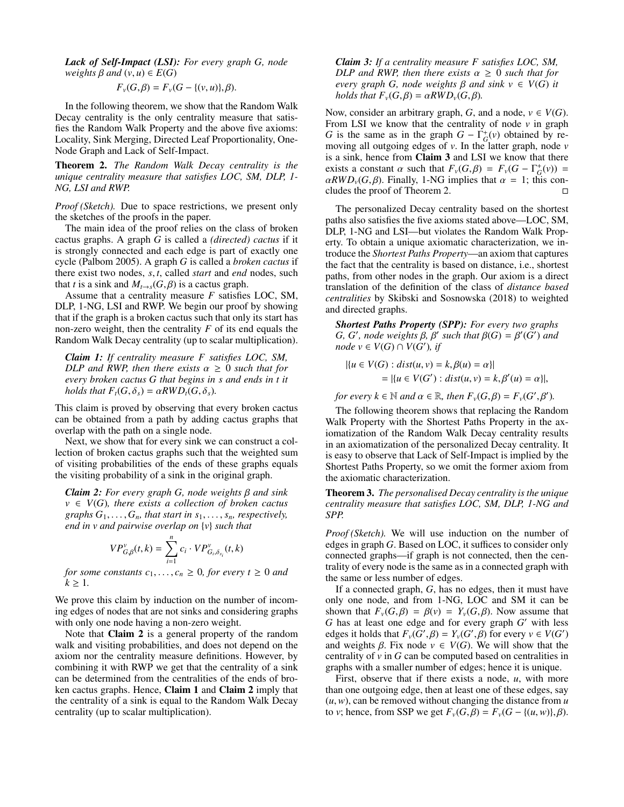*Lack of Self-Impact (LSI): For every graph G, node weights*  $\beta$  *and*  $(v, u) \in E(G)$ 

$$
F_{\nu}(G,\beta) = F_{\nu}(G - \{(v,u)\},\beta).
$$

In the following theorem, we show that the Random Walk Decay centrality is the only centrality measure that satisfies the Random Walk Property and the above five axioms: Locality, Sink Merging, Directed Leaf Proportionality, One-Node Graph and Lack of Self-Impact.

Theorem 2. *The Random Walk Decay centrality is the unique centrality measure that satisfies LOC, SM, DLP, 1- NG, LSI and RWP.*

*Proof (Sketch).* Due to space restrictions, we present only the sketches of the proofs in the paper.

The main idea of the proof relies on the class of broken cactus graphs. A graph *G* is called a *(directed) cactus* if it is strongly connected and each edge is part of exactly one cycle (Palbom 2005). A graph *G* is called a *broken cactus* if there exist two nodes, *<sup>s</sup>*, *<sup>t</sup>*, called *start* and *end* nodes, such that *t* is a sink and  $M_{t\rightarrow s}(G,\beta)$  is a cactus graph.

Assume that a centrality measure *F* satisfies LOC, SM, DLP, 1-NG, LSI and RWP. We begin our proof by showing that if the graph is a broken cactus such that only its start has non-zero weight, then the centrality *F* of its end equals the Random Walk Decay centrality (up to scalar multiplication).

*Claim 1: If centrality measure F satisfies LOC, SM, DLP and RWP, then there exists*  $\alpha \geq 0$  *such that for every broken cactus G that begins in s and ends in t it holds that*  $F_t(G, \delta_s) = \alpha R W D_t(G, \delta_s)$ .

This claim is proved by observing that every broken cactus can be obtained from a path by adding cactus graphs that overlap with the path on a single node.

Next, we show that for every sink we can construct a collection of broken cactus graphs such that the weighted sum of visiting probabilities of the ends of these graphs equals the visiting probability of a sink in the original graph.

*Claim 2: For every graph G, node weights* β *and sink*  $v \in V(G)$ *, there exists a collection of broken cactus graphs*  $G_1, \ldots, G_n$ *, that start in*  $s_1, \ldots, s_n$ *, respectively, end in v and pairwise overlap on* {*v*} *such that*

$$
VP_{G,\beta}^v(t,k) = \sum_{i=1}^n c_i \cdot VP_{G_i,\delta_{s_i}}^v(t,k)
$$

*for some constants*  $c_1, \ldots, c_n \geq 0$ *, for every t*  $\geq 0$  *and*  $k \geq 1$ .

We prove this claim by induction on the number of incoming edges of nodes that are not sinks and considering graphs with only one node having a non-zero weight.

Note that Claim 2 is a general property of the random walk and visiting probabilities, and does not depend on the axiom nor the centrality measure definitions. However, by combining it with RWP we get that the centrality of a sink can be determined from the centralities of the ends of broken cactus graphs. Hence, Claim 1 and Claim 2 imply that the centrality of a sink is equal to the Random Walk Decay centrality (up to scalar multiplication).

*Claim 3: If a centrality measure F satisfies LOC, SM, DLP and RWP, then there exists*  $\alpha \geq 0$  *such that for every graph G, node weights*  $\beta$  *and sink*  $v \in V(G)$  *it holds that*  $F_v(G, \beta) = \alpha RWD_v(G, \beta)$ *.* 

Now, consider an arbitrary graph, *G*, and a node,  $v \in V(G)$ . From LSI we know that the centrality of node *v* in graph *G* is the same as in the graph  $G - \Gamma_G^+(v)$  obtained by removing all outgoing edges of *v*. In the latter graph, node *v* is a sink, hence from Claim 3 and LSI we know that there exists a constant  $\alpha$  such that  $F_v(G, \beta) = F_v(G - \Gamma_G^+(v)) = \alpha R W D_v(G, \beta)$ . Finally, 1-NG implies that  $\alpha = 1$ ; this con- $\alpha RWD_\nu(G,\beta)$ . Finally, 1-NG implies that  $\alpha = 1$ ; this concludes the proof of Theorem 2. cludes the proof of Theorem 2.

The personalized Decay centrality based on the shortest paths also satisfies the five axioms stated above—LOC, SM, DLP, 1-NG and LSI—but violates the Random Walk Property. To obtain a unique axiomatic characterization, we introduce the *Shortest Paths Property*—an axiom that captures the fact that the centrality is based on distance, i.e., shortest paths, from other nodes in the graph. Our axiom is a direct translation of the definition of the class of *distance based centralities* by Skibski and Sosnowska (2018) to weighted and directed graphs.

*Shortest Paths Property (SPP): For every two graphs G, G', node weights*  $\beta$ ,  $\beta'$  such that  $\beta(G) = \beta'(G')$  and node  $y \in V(G) \cap V(G')$  if *node*  $v$  ∈  $V(G)$  ∩  $V(G')$ *, if* 

$$
|\{u \in V(G) : dist(u, v) = k, \beta(u) = \alpha\}|
$$
  
= 
$$
|\{u \in V(G') : dist(u, v) = k, \beta'(u) = \alpha\}|,
$$

*for every k*  $\in \mathbb{N}$  *and*  $\alpha \in \mathbb{R}$ *, then*  $F_v(G, \beta) = F_v(G', \beta')$ .

The following theorem shows that replacing the Random Walk Property with the Shortest Paths Property in the axiomatization of the Random Walk Decay centrality results in an axiomatization of the personalized Decay centrality. It is easy to observe that Lack of Self-Impact is implied by the Shortest Paths Property, so we omit the former axiom from the axiomatic characterization.

Theorem 3. *The personalised Decay centrality is the unique centrality measure that satisfies LOC, SM, DLP, 1-NG and SPP.*

*Proof (Sketch).* We will use induction on the number of edges in graph *G*. Based on LOC, it suffices to consider only connected graphs—if graph is not connected, then the centrality of every node is the same as in a connected graph with the same or less number of edges.

If a connected graph, *G*, has no edges, then it must have only one node, and from 1-NG, LOC and SM it can be shown that  $F_v(G, \beta) = \beta(v) = Y_v(G, \beta)$ . Now assume that *G* has at least one edge and for every graph *G*' with less edges it holds that  $F_v(\tilde{G}', \beta) = Y_v(G', \beta)$  for every  $v \in V(G')$ <br>and weights  $\beta$ . Fix node  $v \in V(G)$ . We will show that the and weights  $\beta$ . Fix node  $v \in V(G)$ . We will show that the centrality of *v* in *G* can be computed based on centralities in graphs with a smaller number of edges; hence it is unique.

First, observe that if there exists a node, *u*, with more than one outgoing edge, then at least one of these edges, say (*u*,*w*), can be removed without changing the distance from *<sup>u</sup>* to *v*; hence, from SSP we get  $F_v(G, \beta) = F_v(G - \{(u, w)\}, \beta)$ .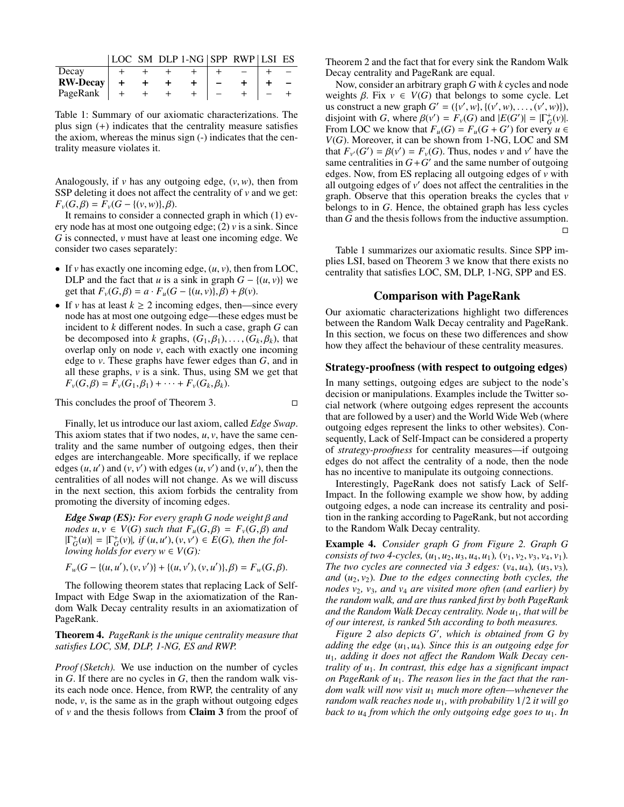|  | $ LOC SM DLP 1-NG   SPP RWP   LSI ES$ |  |  |
|--|---------------------------------------|--|--|
|--|---------------------------------------|--|--|

| Decay           |  |  |  |  |
|-----------------|--|--|--|--|
| <b>RW-Decay</b> |  |  |  |  |
| PageRank        |  |  |  |  |

Table 1: Summary of our axiomatic characterizations. The plus sign (+) indicates that the centrality measure satisfies the axiom, whereas the minus sign (-) indicates that the centrality measure violates it.

Analogously, if  $\nu$  has any outgoing edge,  $(\nu, \nu)$ , then from SSP deleting it does not affect the centrality of *v* and we get:  $F_v(G, \beta) = F_v(G - \{(v, w)\}, \beta).$ 

It remains to consider a connected graph in which (1) every node has at most one outgoing edge; (2) *v* is a sink. Since *G* is connected, *v* must have at least one incoming edge. We consider two cases separately:

- If  $\nu$  has exactly one incoming edge,  $(u, v)$ , then from LOC, DLP and the fact that *u* is a sink in graph  $G - \{(u, v)\}\$ we get that  $F_v(G, \beta) = a \cdot F_u(G - \{(u, v)\}, \beta) + \beta(v).$
- If *v* has at least  $k \geq 2$  incoming edges, then—since every node has at most one outgoing edge—these edges must be incident to *k* different nodes. In such a case, graph *G* can be decomposed into *k* graphs,  $(G_1, \beta_1), \ldots, (G_k, \beta_k)$ , that overlap only on node  $v$ , each with exactly one incoming edge to *v*. These graphs have fewer edges than *G*, and in all these graphs, *v* is a sink. Thus, using SM we get that  $F_v(G, \beta) = F_v(G_1, \beta_1) + \cdots + F_v(G_k, \beta_k).$

This concludes the proof of Theorem 3.

Finally, let us introduce our last axiom, called *Edge Swap*. This axiom states that if two nodes, *<sup>u</sup>*, *<sup>v</sup>*, have the same centrality and the same number of outgoing edges, then their edges are interchangeable. More specifically, if we replace edges  $(u, u')$  and  $(v, v')$  with edges  $(u, v')$  and  $(v, u')$ , then the centralities of all nodes will not change. As we will discuss centralities of all nodes will not change. As we will discuss in the next section, this axiom forbids the centrality from promoting the diversity of incoming edges.

*Edge Swap (ES): For every graph G node weight* β *and nodes*  $u, v \in V(G)$  *such that*  $F_u(G, \beta) = F_v(G, \beta)$  *and*  $|\Gamma_G^+(u)| = |\Gamma_G^+(v)|$ , if  $(u, u'), (v, v') \in E(G)$ , then the fol-<br>lowing holds for every  $w \in V(G)$ . *lowing holds for every*  $w \in V(G)$ *:* 

 $F_w(G - \{(u, u'), (v, v')\} + \{(u, v'), (v, u')\}, \beta) = F_w(G, \beta).$ 

The following theorem states that replacing Lack of Self-Impact with Edge Swap in the axiomatization of the Random Walk Decay centrality results in an axiomatization of PageRank.

Theorem 4. *PageRank is the unique centrality measure that satisfies LOC, SM, DLP, 1-NG, ES and RWP.*

*Proof (Sketch).* We use induction on the number of cycles in *G*. If there are no cycles in *G*, then the random walk visits each node once. Hence, from RWP, the centrality of any node,  $v$ , is the same as in the graph without outgoing edges of  $\nu$  and the thesis follows from **Claim 3** from the proof of

Theorem 2 and the fact that for every sink the Random Walk Decay centrality and PageRank are equal.

Now, consider an arbitrary graph *G* with *k* cycles and node weights  $\beta$ . Fix  $v \in V(G)$  that belongs to some cycle. Let us construct a new graph  $G' = (\{v', w\}, \{(v', w), \dots, (v', w)\})$ ,<br>disjoint with  $G$  where  $B(v') = F_u(G)$  and  $|F(G')| = |\Gamma^+(v)|$ . disjoint with *G*, where  $\beta(v') = F_v(G)$  and  $|E(G')| = |\Gamma_G^+(v)|$ .<br>From LOC we know that  $F_v(G) = F_v(G + G')$  for every  $u \in$ From LOC we know that  $F_u(G) = F_u(G + G')$  for every  $u \in$ *V*(*G*). Moreover, it can be shown from 1-NG, LOC and SM that  $F_{v'}(G') = \beta(v') = F_v(G)$ . Thus, nodes *v* and *v'* have the same centralities in  $G + G'$  and the same number of outgoing same centralities in  $G + G'$  and the same number of outgoing edges. Now, from ES replacing all outgoing edges of *v* with all outgoing edges of  $v'$  does not affect the centralities in the graph. Observe that this operation breaks the cycles that *v* belongs to in *G*. Hence, the obtained graph has less cycles than *G* and the thesis follows from the inductive assumption.  $\Box$ 

Table 1 summarizes our axiomatic results. Since SPP implies LSI, based on Theorem 3 we know that there exists no centrality that satisfies LOC, SM, DLP, 1-NG, SPP and ES.

# Comparison with PageRank

Our axiomatic characterizations highlight two differences between the Random Walk Decay centrality and PageRank. In this section, we focus on these two differences and show how they affect the behaviour of these centrality measures.

#### Strategy-proofness (with respect to outgoing edges)

In many settings, outgoing edges are subject to the node's decision or manipulations. Examples include the Twitter social network (where outgoing edges represent the accounts that are followed by a user) and the World Wide Web (where outgoing edges represent the links to other websites). Consequently, Lack of Self-Impact can be considered a property of *strategy-proofness* for centrality measures—if outgoing edges do not affect the centrality of a node, then the node has no incentive to manipulate its outgoing connections.

Interestingly, PageRank does not satisfy Lack of Self-Impact. In the following example we show how, by adding outgoing edges, a node can increase its centrality and position in the ranking according to PageRank, but not according to the Random Walk Decay centrality.

Example 4. *Consider graph G from Figure 2. Graph G consists of two 4-cycles,*  $(u_1, u_2, u_3, u_4, u_1)$ ,  $(v_1, v_2, v_3, v_4, v_1)$ . *The two cycles are connected via 3 edges:*  $(v_4, u_4)$ ,  $(u_3, v_3)$ , *and*  $(u_2, v_2)$ *. Due to the edges connecting both cycles, the nodes v*2*, v*3*, and v*<sup>4</sup> *are visited more often (and earlier) by the random walk, and are thus ranked first by both PageRank and the Random Walk Decay centrality. Node u*1*, that will be of our interest, is ranked* 5*th according to both measures.*

*Figure 2 also depicts G*<sup>0</sup> *, which is obtained from G by adding the edge* (*u*<sup>1</sup>, *<sup>u</sup>*4)*. Since this is an outgoing edge for u*1*, adding it does not a*ff*ect the Random Walk Decay centrality of u*1*. In contrast, this edge has a significant impact on PageRank of u*1*. The reason lies in the fact that the random walk will now visit u*<sup>1</sup> *much more often—whenever the random walk reaches node u*1*, with probability* <sup>1</sup>/<sup>2</sup> *it will go back to u*<sup>4</sup> *from which the only outgoing edge goes to u*1*. In*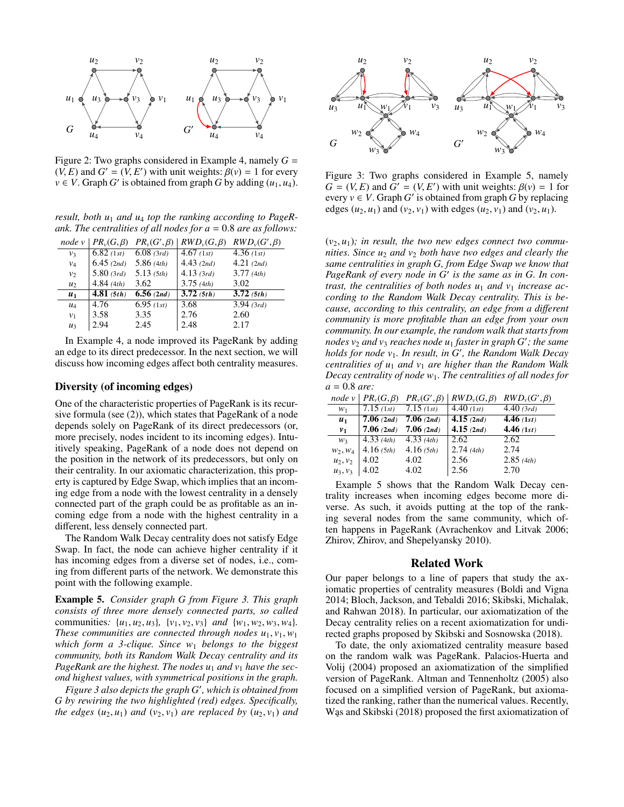

Figure 2: Two graphs considered in Example 4, namely  $G =$  $(V, E)$  and  $G' = (V, E')$  with unit weights:  $\beta(v) = 1$  for every  $v \in V$  Graph  $G'$  is obtained from graph  $G$  by adding  $(u_1, u_2)$  $v \in V$ . Graph *G*<sup>'</sup> is obtained from graph *G* by adding  $(u_1, u_4)$ .

*result, both u*<sup>1</sup> *and u*<sup>4</sup> *top the ranking according to PageRank. The centralities of all nodes for a* <sup>=</sup> <sup>0</sup>.<sup>8</sup> *are as follows:*

|       | node v   $PR_{\nu}(G, \beta)$ | $PR_{v}(G',\beta)$ | $RWD_\nu(G,\beta)$ | $RWD_v(G',\beta)$ |
|-------|-------------------------------|--------------------|--------------------|-------------------|
| $v_3$ | $6.82$ (1st)                  | 6.08(3rd)          | $4.67$ (1st)       | $4.36$ (1st)      |
| $v_4$ | $6.45$ (2nd)                  | 5.86(4th)          | $4.43$ (2nd)       | $4.21$ (2nd)      |
| $v_2$ | 5.80(3rd)                     | $5.13$ (5th)       | 4.13(3rd)          | 3.77(4th)         |
| $u_2$ | $4.84$ (4th)                  | 3.62               | 3.75(4th)          | 3.02              |
| $u_1$ | $4.81$ (5th)                  | $6.56$ (2nd)       | 3.72(5th)          | 3.72(5th)         |
| $u_4$ | 4.76                          | 6.95(1st)          | 3.68               | 3.94(3rd)         |
| $v_1$ | 3.58                          | 3.35               | 2.76               | 2.60              |
| $u_3$ | 2.94                          | 2.45               | 2.48               | 2.17              |

In Example 4, a node improved its PageRank by adding an edge to its direct predecessor. In the next section, we will discuss how incoming edges affect both centrality measures.

# Diversity (of incoming edges)

One of the characteristic properties of PageRank is its recursive formula (see (2)), which states that PageRank of a node depends solely on PageRank of its direct predecessors (or, more precisely, nodes incident to its incoming edges). Intuitively speaking, PageRank of a node does not depend on the position in the network of its predecessors, but only on their centrality. In our axiomatic characterization, this property is captured by Edge Swap, which implies that an incoming edge from a node with the lowest centrality in a densely connected part of the graph could be as profitable as an incoming edge from a node with the highest centrality in a different, less densely connected part.

The Random Walk Decay centrality does not satisfy Edge Swap. In fact, the node can achieve higher centrality if it has incoming edges from a diverse set of nodes, i.e., coming from different parts of the network. We demonstrate this point with the following example.

Example 5. *Consider graph G from Figure 3. This graph consists of three more densely connected parts, so called* communities:  $\{u_1, u_2, u_3\}$ ,  $\{v_1, v_2, v_3\}$  *and*  $\{w_1, w_2, w_3, w_4\}$ . *These communities are connected through nodes*  $u_1, v_1, w_1$ *which form a 3-clique. Since w*<sup>1</sup> *belongs to the biggest community, both its Random Walk Decay centrality and its PageRank are the highest. The nodes u*<sup>1</sup> *and v*<sup>1</sup> *have the second highest values, with symmetrical positions in the graph.*

Figure 3 also depicts the graph G', which is obtained from *G by rewiring the two highlighted (red) edges. Specifically, the edges*  $(u_2, u_1)$  *and*  $(v_2, v_1)$  *are replaced by*  $(u_2, v_1)$  *and* 



Figure 3: Two graphs considered in Example 5, namely  $G = (V, E)$  and  $\tilde{G}' = (V, E')$  with unit weights:  $\beta(v) = 1$  for every  $v \in V$  Graph G' is obtained from graph G by replacing every  $v \in V$ . Graph *G*' is obtained from graph *G* by replacing edges  $(u_2, u_1)$  and  $(v_2, v_1)$  with edges  $(u_2, v_1)$  and  $(v_2, u_1)$ .

 $(v_2, u_1)$ ; in result, the two new edges connect two commu*nities. Since u<sub>2</sub> and v<sub>2</sub> both have two edges and clearly the same centralities in graph G, from Edge Swap we know that* PageRank of every node in G' is the same as in G. In con*trast, the centralities of both nodes*  $u_1$  *and*  $v_1$  *increase according to the Random Walk Decay centrality. This is because, according to this centrality, an edge from a di*ff*erent community is more profitable than an edge from your own community. In our example, the random walk that starts from nodes v*<sup>2</sup> *and v*<sup>3</sup> *reaches node u*<sup>1</sup> *faster in graph G*<sup>0</sup> *; the same holds for node v*1*. In result, in G*<sup>0</sup> *, the Random Walk Decay centralities of u*<sup>1</sup> *and v*<sup>1</sup> *are higher than the Random Walk Decay centrality of node w*1*. The centralities of all nodes for <sup>a</sup>* <sup>=</sup> <sup>0</sup>.<sup>8</sup> *are:*

*node v*  $PR_v(G, \beta)$   $PR_v(G', \beta)$   $RWD_v(G, \beta)$   $RWD_v(G', \beta)$ <br>*w*, 7.15 (1st) 7.15 (1st) 4.40 (1st) 4.40 (3rd)

| $W_1$      | $7.15$ (1st) $7.15$ (1st) |              | 4.40(1st)    | 4.40(3rd)    |
|------------|---------------------------|--------------|--------------|--------------|
| $u_1$      | $7.06$ (2nd)              | $7.06$ (2nd) | $4.15$ (2nd) | 4.46 $(1st)$ |
| $v_1$      | $7.06$ (2nd)              | 7.06(2nd)    | 4.15(2nd)    | $4.46$ (1st) |
| $W_3$      | $4.33$ (4th)              | 4.33(4th)    | 2.62         | 2.62         |
| $W_2, W_4$ | $4.16$ (5th)              | $4.16$ (5th) | $2.74$ (4th) | 2.74         |
| $u_2, v_2$ | 4.02                      | 4.02         | 2.56         | 2.85(4th)    |
| $u_3, v_3$ | 4.02                      | 4.02         | 2.56         | 2.70         |
|            |                           |              |              |              |

Example 5 shows that the Random Walk Decay centrality increases when incoming edges become more diverse. As such, it avoids putting at the top of the ranking several nodes from the same community, which often happens in PageRank (Avrachenkov and Litvak 2006; Zhirov, Zhirov, and Shepelyansky 2010).

# Related Work

Our paper belongs to a line of papers that study the axiomatic properties of centrality measures (Boldi and Vigna 2014; Bloch, Jackson, and Tebaldi 2016; Skibski, Michalak, and Rahwan 2018). In particular, our axiomatization of the Decay centrality relies on a recent axiomatization for undirected graphs proposed by Skibski and Sosnowska (2018).

To date, the only axiomatized centrality measure based on the random walk was PageRank. Palacios-Huerta and Volij (2004) proposed an axiomatization of the simplified version of PageRank. Altman and Tennenholtz (2005) also focused on a simplified version of PageRank, but axiomatized the ranking, rather than the numerical values. Recently, Was and Skibski (2018) proposed the first axiomatization of